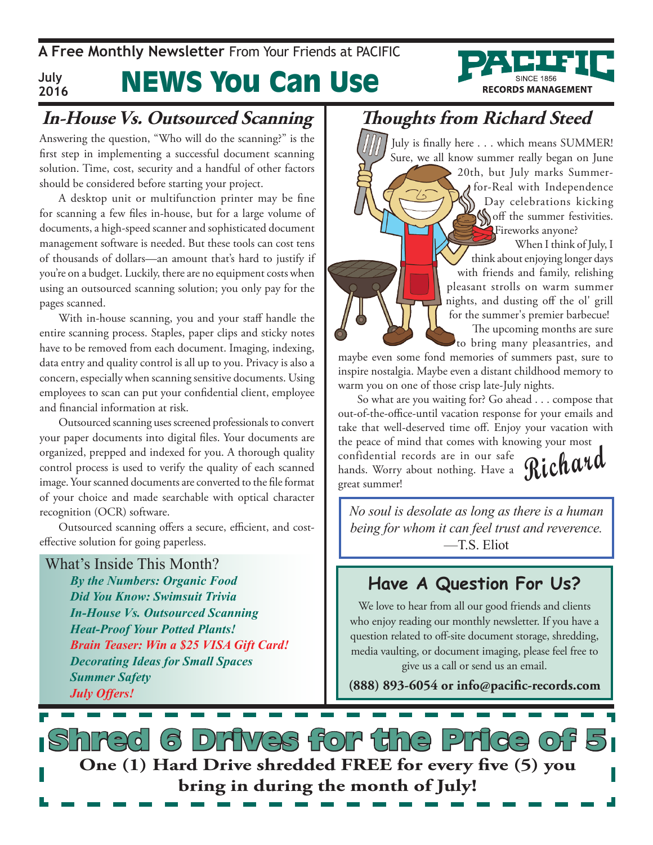**A Free Monthly Newsletter** From Your Friends at Pacific **July**



#### News You Can Use **2016**

## **In-House Vs. Outsourced Scanning**

Answering the question, "Who will do the scanning?" is the first step in implementing a successful document scanning solution. Time, cost, security and a handful of other factors should be considered before starting your project.

A desktop unit or multifunction printer may be fine for scanning a few files in-house, but for a large volume of documents, a high-speed scanner and sophisticated document management software is needed. But these tools can cost tens of thousands of dollars—an amount that's hard to justify if you're on a budget. Luckily, there are no equipment costs when using an outsourced scanning solution; you only pay for the pages scanned.

With in-house scanning, you and your staff handle the entire scanning process. Staples, paper clips and sticky notes have to be removed from each document. Imaging, indexing, data entry and quality control is all up to you. Privacy is also a concern, especially when scanning sensitive documents. Using employees to scan can put your confidential client, employee and financial information at risk.

Outsourced scanning uses screened professionals to convert your paper documents into digital files. Your documents are organized, prepped and indexed for you. A thorough quality control process is used to verify the quality of each scanned image. Your scanned documents are converted to the file format of your choice and made searchable with optical character recognition (OCR) software.

Outsourced scanning offers a secure, efficient, and costeffective solution for going paperless.

#### What's Inside This Month?

*By the Numbers: Organic Food Did You Know: Swimsuit Trivia In-House Vs. Outsourced Scanning Heat-Proof Your Potted Plants! Brain Teaser: Win a \$25 VISA Gift Card! Decorating Ideas for Small Spaces Summer Safety July Offers!*

## **Thoughts from Richard Steed**

July is finally here . . . which means SUMMER! Sure, we all know summer really began on June 20th, but July marks Summerfor-Real with Independence Day celebrations kicking **Soff** the summer festivities. Fireworks anyone? When I think of July, I

think about enjoying longer days with friends and family, relishing pleasant strolls on warm summer nights, and dusting off the ol' grill for the summer's premier barbecue!

The upcoming months are sure to bring many pleasantries, and

maybe even some fond memories of summers past, sure to inspire nostalgia. Maybe even a distant childhood memory to warm you on one of those crisp late-July nights.

confidential records are in our safe Richard So what are you waiting for? Go ahead . . . compose that out-of-the-office-until vacation response for your emails and take that well-deserved time off. Enjoy your vacation with the peace of mind that comes with knowing your most hands. Worry about nothing. Have a great summer!

*No soul is desolate as long as there is a human being for whom it can feel trust and reverence.*   $-TS$  Eliot

## **Have A Question For Us?**

We love to hear from all our good friends and clients who enjoy reading our monthly newsletter. If you have a question related to off-site document storage, shredding, media vaulting, or document imaging, please feel free to give us a call or send us an email.

**(888) 893-6054 or info@pacific-records.com**

6 Drives for the Price **One (1) Hard Drive shredded FREE for every five (5) you bring in during the month of July!**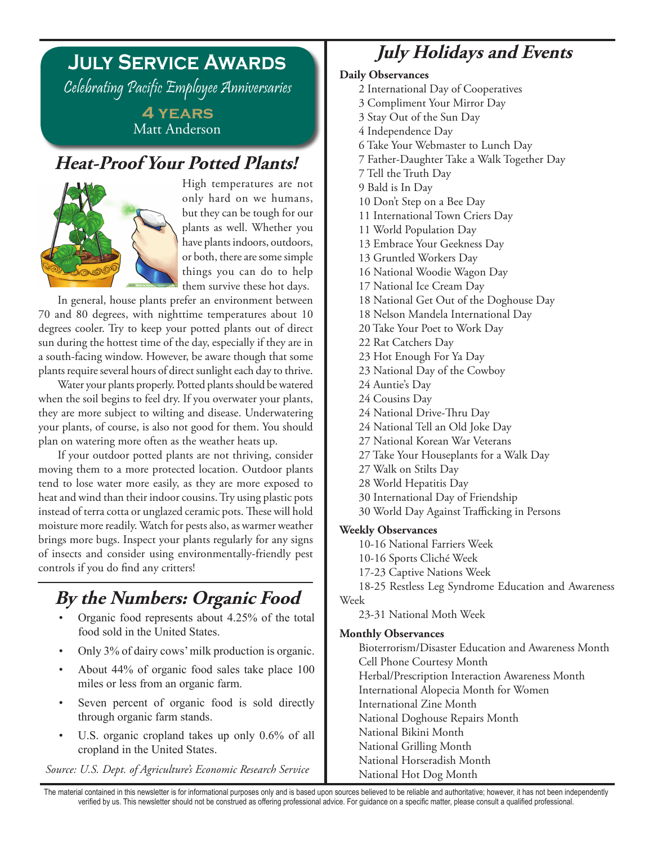# **July Service Awards**

Celebrating Pacific Employee Anniversaries

**4 years** Matt Anderson

### **Heat-Proof Your Potted Plants!**



High temperatures are not only hard on we humans, but they can be tough for our plants as well. Whether you have plants indoors, outdoors, or both, there are some simple things you can do to help them survive these hot days.

In general, house plants prefer an environment between 70 and 80 degrees, with nighttime temperatures about 10 degrees cooler. Try to keep your potted plants out of direct sun during the hottest time of the day, especially if they are in a south-facing window. However, be aware though that some plants require several hours of direct sunlight each day to thrive.

Water your plants properly. Potted plants should be watered when the soil begins to feel dry. If you overwater your plants, they are more subject to wilting and disease. Underwatering your plants, of course, is also not good for them. You should plan on watering more often as the weather heats up.

If your outdoor potted plants are not thriving, consider moving them to a more protected location. Outdoor plants tend to lose water more easily, as they are more exposed to heat and wind than their indoor cousins. Try using plastic pots instead of terra cotta or unglazed ceramic pots. These will hold moisture more readily. Watch for pests also, as warmer weather brings more bugs. Inspect your plants regularly for any signs of insects and consider using environmentally-friendly pest controls if you do find any critters!

# **By the Numbers: Organic Food**

- Organic food represents about 4.25% of the total food sold in the United States.
- Only 3% of dairy cows' milk production is organic.
- About  $44\%$  of organic food sales take place 100 miles or less from an organic farm.
- Seven percent of organic food is sold directly through organic farm stands.
- U.S. organic cropland takes up only  $0.6\%$  of all cropland in the United States.

*Source: U.S. Dept. of Agriculture's Economic Research Service*

### **July Holidays and Events**

#### **Daily Observances**

- 2 International Day of Cooperatives
- 3 Compliment Your Mirror Day
- 3 Stay Out of the Sun Day
- 4 Independence Day
- 6 Take Your Webmaster to Lunch Day
- 7 Father-Daughter Take a Walk Together Day
- 7 Tell the Truth Day
- 9 Bald is In Day
- 10 Don't Step on a Bee Day
- 11 International Town Criers Day
- 11 World Population Day
- 13 Embrace Your Geekness Day
- 13 Gruntled Workers Day
- 16 National Woodie Wagon Day
- 17 National Ice Cream Day
- 18 National Get Out of the Doghouse Day
- 18 Nelson Mandela International Day
- 20 Take Your Poet to Work Day
- 22 Rat Catchers Day
- 23 Hot Enough For Ya Day
- 23 National Day of the Cowboy
- 24 Auntie's Day
- 24 Cousins Day
- 24 National Drive-Thru Day
- 24 National Tell an Old Joke Day
- 27 National Korean War Veterans
- 27 Take Your Houseplants for a Walk Day
- 27 Walk on Stilts Day
- 28 World Hepatitis Day
- 30 International Day of Friendship
- 30 World Day Against Trafficking in Persons

#### **Weekly Observances**

- 10-16 National Farriers Week
- 10-16 Sports Cliché Week
- 17-23 Captive Nations Week

18-25 Restless Leg Syndrome Education and Awareness Week

23-31 National Moth Week

#### **Monthly Observances**

Bioterrorism/Disaster Education and Awareness Month Cell Phone Courtesy Month Herbal/Prescription Interaction Awareness Month International Alopecia Month for Women International Zine Month National Doghouse Repairs Month National Bikini Month National Grilling Month National Horseradish Month National Hot Dog Month

The material contained in this newsletter is for informational purposes only and is based upon sources believed to be reliable and authoritative; however, it has not been independently verified by us. This newsletter should not be construed as offering professional advice. For guidance on a specific matter, please consult a qualified professional.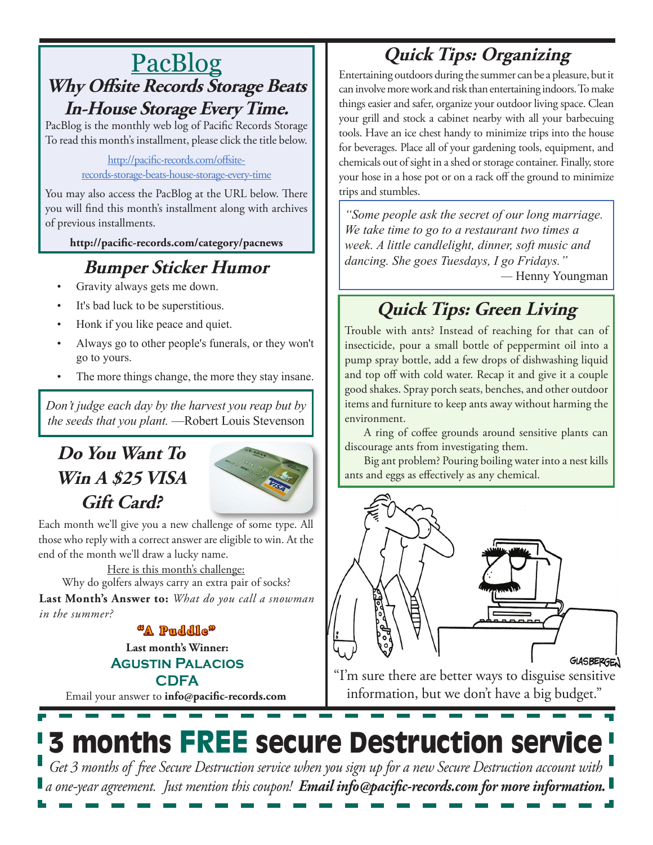# PacBlog **Why Offsite Records Storage Beats In-House Storage Every Time.**

PacBlog is the monthly web log of Pacific Records Storage To read this month's installment, please click the title below.

> [http://pacific-records.com/offsite](http://pacific-records.com/offsite-records-storage-beats-house-storage-every-time)[records-storage-beats-house-storage-every-time](http://pacific-records.com/offsite-records-storage-beats-house-storage-every-time)

You may also access the PacBlog at the URL below. There you will find this month's installment along with archives of previous installments.

**http://pacific-records.com/category/pacnews**

# **Bumper Sticker Humor**

- Gravity always gets me down.
- It's bad luck to be superstitious.
- Honk if you like peace and quiet.
- Always go to other people's funerals, or they won't go to yours.
- The more things change, the more they stay insane.

*Don't judge each day by the harvest you reap but by the seeds that you plant.* —Robert Louis Stevenson

# **Do You Want To Win A \$25 VISA Gift Card?**



Each month we'll give you a new challenge of some type. All those who reply with a correct answer are eligible to win. At the end of the month we'll draw a lucky name.

Here is this month's challenge:

**Last Month's Answer to:** *What do you call a snowman in the summer?* Why do golfers always carry an extra pair of socks?

**"A Puddle"**

**Last month's Winner: Agustin Palacios**

**CDFA**

Email your answer to **info@pacific-records.com**

# **Quick Tips: Organizing**

Entertaining outdoors during the summer can be a pleasure, but it can involve more work and risk than entertaining indoors. To make things easier and safer, organize your outdoor living space. Clean your grill and stock a cabinet nearby with all your barbecuing tools. Have an ice chest handy to minimize trips into the house for beverages. Place all of your gardening tools, equipment, and chemicals out of sight in a shed or storage container. Finally, store your hose in a hose pot or on a rack off the ground to minimize trips and stumbles.

*"Some people ask the secret of our long marriage. We take time to go to a restaurant two times a week. A little candlelight, dinner, soft music and dancing. She goes Tuesdays, I go Fridays." —* Henny Youngman

# **Quick Tips: Green Living**

Trouble with ants? Instead of reaching for that can of insecticide, pour a small bottle of peppermint oil into a pump spray bottle, add a few drops of dishwashing liquid and top off with cold water. Recap it and give it a couple good shakes. Spray porch seats, benches, and other outdoor items and furniture to keep ants away without harming the environment.

A ring of coffee grounds around sensitive plants can discourage ants from investigating them.

Big ant problem? Pouring boiling water into a nest kills ants and eggs as effectively as any chemical.



"I'm sure there are better ways to disguise sensitive information, but we don't have a big budget."

# 3 months FREE secure Destruction service *Get 3 months of free Secure Destruction service when you sign up for a new Secure Destruction account with a one-year agreement. Just mention this coupon! Email info@pacific-records.com for more information.*